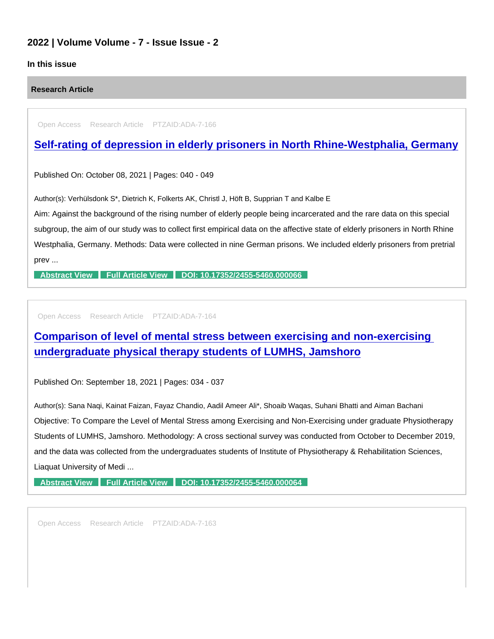### 2022 | Volume Volume - 7 - Issue Issue - 2

### In this issue

Research Article

Open Access Research Article PTZAID:ADA-7-166

## [Self-rating of depression in elderly prisoners in North Rhine-Westphalia, Germany](https://www.peertechzpublications.com/articles/self-rating-of-depression-in-elderly-prisoners-in-north-rhine-westphalia-germany)

Published On: October 08, 2021 | Pages: 040 - 049

Author(s): Verhülsdonk S\*, Dietrich K, Folkerts AK, Christl J, Höft B, Supprian T and Kalbe E

Aim: Against the background of the rising number of elderly people being incarcerated and the rare data on this special subgroup, the aim of our study was to collect first empirical data on the affective state of elderly prisoners in North Rhine Westphalia, Germany. Methods: Data were collected in nine German prisons. We included elderly prisoners from pretrial prev ...

[Abstract View](https://www.peertechzpublications.com/abstracts/self-rating-of-depression-in-elderly-prisoners-in-north-rhine-westphalia-germany) [Full Article View](https://www.peertechzpublications.com/articles/self-rating-of-depression-in-elderly-prisoners-in-north-rhine-westphalia-germany) [DOI: 10.17352/2455-5460.000066](http://dx.doi.org/10.17352/2455-5460.000066)

Open Access Research Article PTZAID:ADA-7-164

[Comparison of level of mental stress between exercising and non-exercising](https://www.peertechzpublications.com/articles/comparison-of-level-of-mental-stress-between-exercising-and-non-exercising-undergraduate-physical-therapy-students-of-lumhs-jamshoro)  undergraduate physical therapy students of LUMHS, Jamshoro

Published On: September 18, 2021 | Pages: 034 - 037

Author(s): Sana Naqi, Kainat Faizan, Fayaz Chandio, Aadil Ameer Ali\*, Shoaib Waqas, Suhani Bhatti and Aiman Bachani Objective: To Compare the Level of Mental Stress among Exercising and Non-Exercising under graduate Physiotherapy Students of LUMHS, Jamshoro. Methodology: A cross sectional survey was conducted from October to December 2019, and the data was collected from the undergraduates students of Institute of Physiotherapy & Rehabilitation Sciences, Liaquat University of Medi ...

[Abstract View](https://www.peertechzpublications.com/abstracts/comparison-of-level-of-mental-stress-between-exercising-and-non-exercising-undergraduate-physical-therapy-students-of-lumhs-jamshoro) [Full Article View](https://www.peertechzpublications.com/articles/comparison-of-level-of-mental-stress-between-exercising-and-non-exercising-undergraduate-physical-therapy-students-of-lumhs-jamshoro) [DOI: 10.17352/2455-5460.000064](http://dx.doi.org/10.17352/2455-5460.000064)

Open Access Research Article PTZAID:ADA-7-163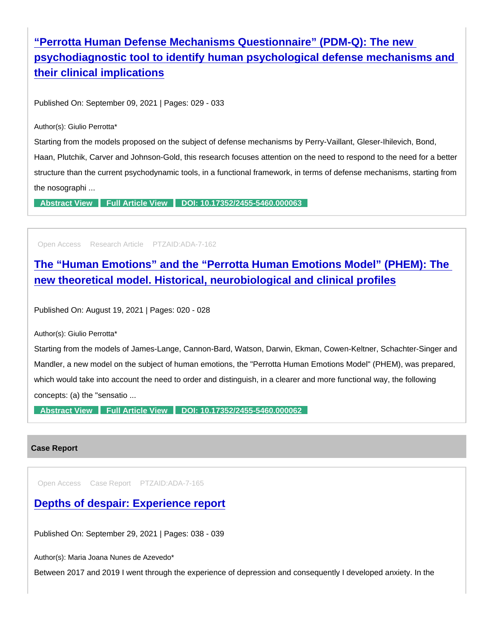# "Perrotta Human Defense Mechanisms Questionnaire" (PDM-Q): The new [psychodiagnostic tool to identify human psychological defense mechanisms and](https://www.peertechzpublications.com/articles/perrotta-human-defense-mechanisms-questionnaire-pdm-q-the-new-psychodiagnostic-tool-to-identify-human-psychological-defense-mechanisms-and-their-clinical-implications)  their clinical implications

Published On: September 09, 2021 | Pages: 029 - 033

Author(s): Giulio Perrotta\*

Starting from the models proposed on the subject of defense mechanisms by Perry-Vaillant, Gleser-Ihilevich, Bond, Haan, Plutchik, Carver and Johnson-Gold, this research focuses attention on the need to respond to the need for a better structure than the current psychodynamic tools, in a functional framework, in terms of defense mechanisms, starting from the nosographi ...

[Abstract View](https://www.peertechzpublications.com/abstracts/perrotta-human-defense-mechanisms-questionnaire-pdm-q-the-new-psychodiagnostic-tool-to-identify-human-psychological-defense-mechanisms-and-their-clinical-implications) [Full Article View](https://www.peertechzpublications.com/articles/perrotta-human-defense-mechanisms-questionnaire-pdm-q-the-new-psychodiagnostic-tool-to-identify-human-psychological-defense-mechanisms-and-their-clinical-implications) [DOI: 10.17352/2455-5460.000063](http://dx.doi.org/10.17352/2455-5460.000063)

Open Access Research Article PTZAID:ADA-7-162

[The "Human Emotions" and the "Perrotta Human Emotions Model" \(PHEM\): The](https://www.peertechzpublications.com/articles/the-human-emotions-and-the-perrotta-human-emotions-model-phem-the-new-theoretical-model-historical-neurobiological-and-clinical-profiles)  new theoretical model. Historical, neurobiological and clinical profiles

Published On: August 19, 2021 | Pages: 020 - 028

Author(s): Giulio Perrotta\*

Starting from the models of James-Lange, Cannon-Bard, Watson, Darwin, Ekman, Cowen-Keltner, Schachter-Singer and Mandler, a new model on the subject of human emotions, the "Perrotta Human Emotions Model" (PHEM), was prepared, which would take into account the need to order and distinguish, in a clearer and more functional way, the following concepts: (a) the "sensatio ...

[Abstract View](https://www.peertechzpublications.com/abstracts/the-human-emotions-and-the-perrotta-human-emotions-model-phem-the-new-theoretical-model-historical-neurobiological-and-clinical-profiles) [Full Article View](https://www.peertechzpublications.com/articles/the-human-emotions-and-the-perrotta-human-emotions-model-phem-the-new-theoretical-model-historical-neurobiological-and-clinical-profiles) [DOI: 10.17352/2455-5460.000062](http://dx.doi.org/10.17352/2455-5460.000062)

#### Case Report

Open Access Case Report PTZAID:ADA-7-165

[Depths of despair: Experience report](https://www.peertechzpublications.com/articles/depths-of-despair-experience-report)

Published On: September 29, 2021 | Pages: 038 - 039

Author(s): Maria Joana Nunes de Azevedo\*

Between 2017 and 2019 I went through the experience of depression and consequently I developed anxiety. In the